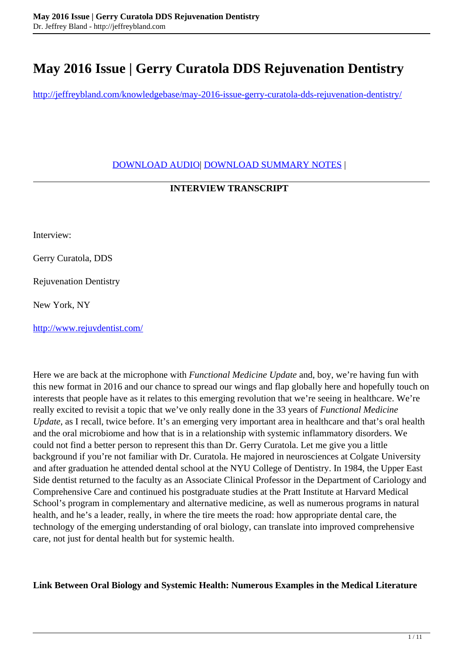# **May 2016 Issue | Gerry Curatola DDS Rejuvenation Dentistry**

<http://jeffreybland.com/knowledgebase/may-2016-issue-gerry-curatola-dds-rejuvenation-dentistry/>

[DOWNLOAD AUDIO|](http://jeffreybland.com/wp-content/uploads/2017/07/FMU-March-2016-131021352590647258.mp3) [DOWNLOAD SUMMARY NOTES](http://jeffreybland.com/wp-content/uploads/2017/08/fmu-1.pdf) |

## **INTERVIEW TRANSCRIPT**

Interview:

Gerry Curatola, DDS

Rejuvenation Dentistry

New York, NY

[http://www.rejuvdentist.com/](http://www.jeffreybland.com/search/getContent.aspx?Year=2016&Month=5&URL=http://www.rejuvdentist.com/)

Here we are back at the microphone with *Functional Medicine Update* and, boy, we're having fun with this new format in 2016 and our chance to spread our wings and flap globally here and hopefully touch on interests that people have as it relates to this emerging revolution that we're seeing in healthcare. We're really excited to revisit a topic that we've only really done in the 33 years of *Functional Medicine Update*, as I recall, twice before. It's an emerging very important area in healthcare and that's oral health and the oral microbiome and how that is in a relationship with systemic inflammatory disorders. We could not find a better person to represent this than Dr. Gerry Curatola. Let me give you a little background if you're not familiar with Dr. Curatola. He majored in neurosciences at Colgate University and after graduation he attended dental school at the NYU College of Dentistry. In 1984, the Upper East Side dentist returned to the faculty as an Associate Clinical Professor in the Department of Cariology and Comprehensive Care and continued his postgraduate studies at the Pratt Institute at Harvard Medical School's program in complementary and alternative medicine, as well as numerous programs in natural health, and he's a leader, really, in where the tire meets the road: how appropriate dental care, the technology of the emerging understanding of oral biology, can translate into improved comprehensive care, not just for dental health but for systemic health.

**Link Between Oral Biology and Systemic Health: Numerous Examples in the Medical Literature**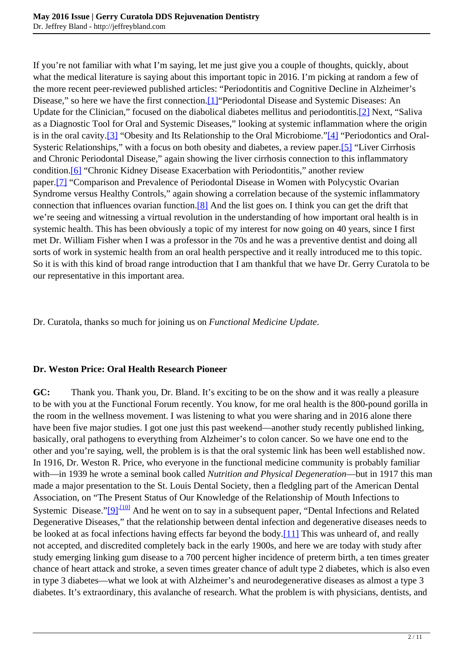If you're not familiar with what I'm saying, let me just give you a couple of thoughts, quickly, about what the medical literature is saying about this important topic in 2016. I'm picking at random a few of the more recent peer-reviewed published articles: "Periodontitis and Cognitive Decline in Alzheimer's Disease," so here we have the first connection.[\[1\]"](http://www.jeffreybland.com/search/getContent.aspx?Year=2016&Month=5&URL=search/2016/may/may_2016_05.htm#1)Periodontal Disease and Systemic Diseases: An Update for the Clinician," focused on the diabolical diabetes mellitus and periodontitis[.\[2\]](http://www.jeffreybland.com/search/getContent.aspx?Year=2016&Month=5&URL=search/2016/may/may_2016_05.htm#2) Next, "Saliva as a Diagnostic Tool for Oral and Systemic Diseases," looking at systemic inflammation where the origin is in the oral cavity.[\[3\]](http://www.jeffreybland.com/search/getContent.aspx?Year=2016&Month=5&URL=search/2016/may/may_2016_05.htm#3) "Obesity and Its Relationship to the Oral Microbiome.["\[4\]](http://www.jeffreybland.com/search/getContent.aspx?Year=2016&Month=5&URL=search/2016/may/may_2016_05.htm#4) "Periodontics and Oral-Systeric Relationships," with a focus on both obesity and diabetes, a review paper.[\[5\]](http://www.jeffreybland.com/search/getContent.aspx?Year=2016&Month=5&URL=search/2016/may/may_2016_05.htm#5) "Liver Cirrhosis and Chronic Periodontal Disease," again showing the liver cirrhosis connection to this inflammatory condition.<sup>[6]</sup> "Chronic Kidney Disease Exacerbation with Periodontitis," another review paper[.\[7\]](http://www.jeffreybland.com/search/getContent.aspx?Year=2016&Month=5&URL=search/2016/may/may_2016_05.htm#7) "Comparison and Prevalence of Periodontal Disease in Women with Polycystic Ovarian Syndrome versus Healthy Controls," again showing a correlation because of the systemic inflammatory connection that influences ovarian function[.\[8\]](http://www.jeffreybland.com/search/getContent.aspx?Year=2016&Month=5&URL=search/2016/may/may_2016_05.htm#8) And the list goes on. I think you can get the drift that we're seeing and witnessing a virtual revolution in the understanding of how important oral health is in systemic health. This has been obviously a topic of my interest for now going on 40 years, since I first met Dr. William Fisher when I was a professor in the 70s and he was a preventive dentist and doing all sorts of work in systemic health from an oral health perspective and it really introduced me to this topic. So it is with this kind of broad range introduction that I am thankful that we have Dr. Gerry Curatola to be our representative in this important area.

Dr. Curatola, thanks so much for joining us on *Functional Medicine Update*.

### **Dr. Weston Price: Oral Health Research Pioneer**

**GC:** Thank you. Thank you, Dr. Bland. It's exciting to be on the show and it was really a pleasure to be with you at the Functional Forum recently. You know, for me oral health is the 800-pound gorilla in the room in the wellness movement. I was listening to what you were sharing and in 2016 alone there have been five major studies. I got one just this past weekend—another study recently published linking, basically, oral pathogens to everything from Alzheimer's to colon cancer. So we have one end to the other and you're saying, well, the problem is is that the oral systemic link has been well established now. In 1916, Dr. Weston R. Price, who everyone in the functional medicine community is probably familiar with—in 1939 he wrote a seminal book called *Nutrition and Physical Degeneration*—but in 1917 this man made a major presentation to the St. Louis Dental Society, then a fledgling part of the American Dental Association, on "The Present Status of Our Knowledge of the Relationship of Mouth Infections to Systemic Disease.["\[9\]](http://www.jeffreybland.com/search/getContent.aspx?Year=2016&Month=5&URL=search/2016/may/may_2016_05.htm#9)<sup>[,\[10\]](http://www.jeffreybland.com/search/getContent.aspx?Year=2016&Month=5&URL=search/2016/may/may_2016_05.htm#10)</sup> And he went on to say in a subsequent paper, "Dental Infections and Related Degenerative Diseases," that the relationship between dental infection and degenerative diseases needs to be looked at as focal infections having effects far beyond the body[.\[11\]](http://www.jeffreybland.com/search/getContent.aspx?Year=2016&Month=5&URL=search/2016/may/may_2016_05.htm#11) This was unheard of, and really not accepted, and discredited completely back in the early 1900s, and here we are today with study after study emerging linking gum disease to a 700 percent higher incidence of preterm birth, a ten times greater chance of heart attack and stroke, a seven times greater chance of adult type 2 diabetes, which is also even in type 3 diabetes—what we look at with Alzheimer's and neurodegenerative diseases as almost a type 3 diabetes. It's extraordinary, this avalanche of research. What the problem is with physicians, dentists, and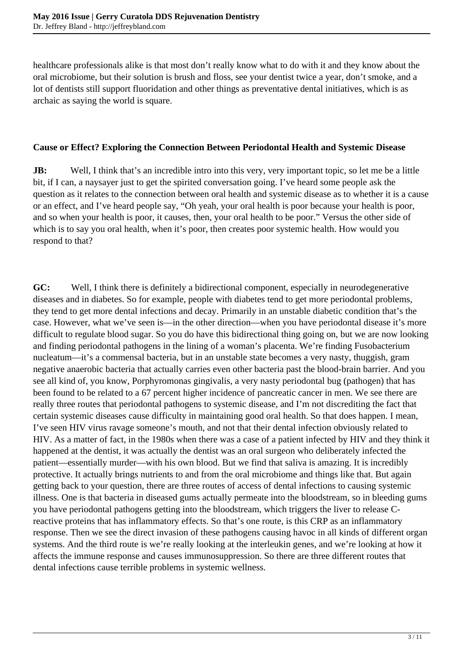healthcare professionals alike is that most don't really know what to do with it and they know about the oral microbiome, but their solution is brush and floss, see your dentist twice a year, don't smoke, and a lot of dentists still support fluoridation and other things as preventative dental initiatives, which is as archaic as saying the world is square.

#### **Cause or Effect? Exploring the Connection Between Periodontal Health and Systemic Disease**

**JB:** Well, I think that's an incredible intro into this very, very important topic, so let me be a little bit, if I can, a naysayer just to get the spirited conversation going. I've heard some people ask the question as it relates to the connection between oral health and systemic disease as to whether it is a cause or an effect, and I've heard people say, "Oh yeah, your oral health is poor because your health is poor, and so when your health is poor, it causes, then, your oral health to be poor." Versus the other side of which is to say you oral health, when it's poor, then creates poor systemic health. How would you respond to that?

**GC:** Well, I think there is definitely a bidirectional component, especially in neurodegenerative diseases and in diabetes. So for example, people with diabetes tend to get more periodontal problems, they tend to get more dental infections and decay. Primarily in an unstable diabetic condition that's the case. However, what we've seen is—in the other direction—when you have periodontal disease it's more difficult to regulate blood sugar. So you do have this bidirectional thing going on, but we are now looking and finding periodontal pathogens in the lining of a woman's placenta. We're finding Fusobacterium nucleatum—it's a commensal bacteria, but in an unstable state becomes a very nasty, thuggish, gram negative anaerobic bacteria that actually carries even other bacteria past the blood-brain barrier. And you see all kind of, you know, Porphyromonas gingivalis, a very nasty periodontal bug (pathogen) that has been found to be related to a 67 percent higher incidence of pancreatic cancer in men. We see there are really three routes that periodontal pathogens to systemic disease, and I'm not discrediting the fact that certain systemic diseases cause difficulty in maintaining good oral health. So that does happen. I mean, I've seen HIV virus ravage someone's mouth, and not that their dental infection obviously related to HIV. As a matter of fact, in the 1980s when there was a case of a patient infected by HIV and they think it happened at the dentist, it was actually the dentist was an oral surgeon who deliberately infected the patient—essentially murder—with his own blood. But we find that saliva is amazing. It is incredibly protective. It actually brings nutrients to and from the oral microbiome and things like that. But again getting back to your question, there are three routes of access of dental infections to causing systemic illness. One is that bacteria in diseased gums actually permeate into the bloodstream, so in bleeding gums you have periodontal pathogens getting into the bloodstream, which triggers the liver to release Creactive proteins that has inflammatory effects. So that's one route, is this CRP as an inflammatory response. Then we see the direct invasion of these pathogens causing havoc in all kinds of different organ systems. And the third route is we're really looking at the interleukin genes, and we're looking at how it affects the immune response and causes immunosuppression. So there are three different routes that dental infections cause terrible problems in systemic wellness.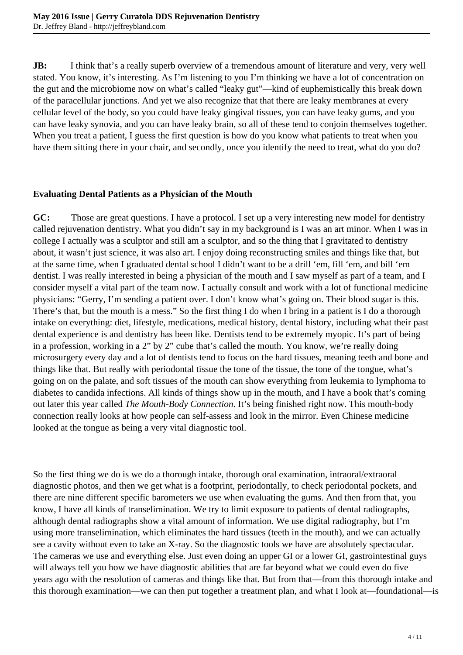**JB:** I think that's a really superb overview of a tremendous amount of literature and very, very well stated. You know, it's interesting. As I'm listening to you I'm thinking we have a lot of concentration on the gut and the microbiome now on what's called "leaky gut"—kind of euphemistically this break down of the paracellular junctions. And yet we also recognize that that there are leaky membranes at every cellular level of the body, so you could have leaky gingival tissues, you can have leaky gums, and you can have leaky synovia, and you can have leaky brain, so all of these tend to conjoin themselves together. When you treat a patient, I guess the first question is how do you know what patients to treat when you have them sitting there in your chair, and secondly, once you identify the need to treat, what do you do?

## **Evaluating Dental Patients as a Physician of the Mouth**

**GC:** Those are great questions. I have a protocol. I set up a very interesting new model for dentistry called rejuvenation dentistry. What you didn't say in my background is I was an art minor. When I was in college I actually was a sculptor and still am a sculptor, and so the thing that I gravitated to dentistry about, it wasn't just science, it was also art. I enjoy doing reconstructing smiles and things like that, but at the same time, when I graduated dental school I didn't want to be a drill 'em, fill 'em, and bill 'em dentist. I was really interested in being a physician of the mouth and I saw myself as part of a team, and I consider myself a vital part of the team now. I actually consult and work with a lot of functional medicine physicians: "Gerry, I'm sending a patient over. I don't know what's going on. Their blood sugar is this. There's that, but the mouth is a mess." So the first thing I do when I bring in a patient is I do a thorough intake on everything: diet, lifestyle, medications, medical history, dental history, including what their past dental experience is and dentistry has been like. Dentists tend to be extremely myopic. It's part of being in a profession, working in a 2" by 2" cube that's called the mouth. You know, we're really doing microsurgery every day and a lot of dentists tend to focus on the hard tissues, meaning teeth and bone and things like that. But really with periodontal tissue the tone of the tissue, the tone of the tongue, what's going on on the palate, and soft tissues of the mouth can show everything from leukemia to lymphoma to diabetes to candida infections. All kinds of things show up in the mouth, and I have a book that's coming out later this year called *The Mouth-Body Connection*. It's being finished right now. This mouth-body connection really looks at how people can self-assess and look in the mirror. Even Chinese medicine looked at the tongue as being a very vital diagnostic tool.

So the first thing we do is we do a thorough intake, thorough oral examination, intraoral/extraoral diagnostic photos, and then we get what is a footprint, periodontally, to check periodontal pockets, and there are nine different specific barometers we use when evaluating the gums. And then from that, you know, I have all kinds of transelimination. We try to limit exposure to patients of dental radiographs, although dental radiographs show a vital amount of information. We use digital radiography, but I'm using more transelimination, which eliminates the hard tissues (teeth in the mouth), and we can actually see a cavity without even to take an X-ray. So the diagnostic tools we have are absolutely spectacular. The cameras we use and everything else. Just even doing an upper GI or a lower GI, gastrointestinal guys will always tell you how we have diagnostic abilities that are far beyond what we could even do five years ago with the resolution of cameras and things like that. But from that—from this thorough intake and this thorough examination—we can then put together a treatment plan, and what I look at—foundational—is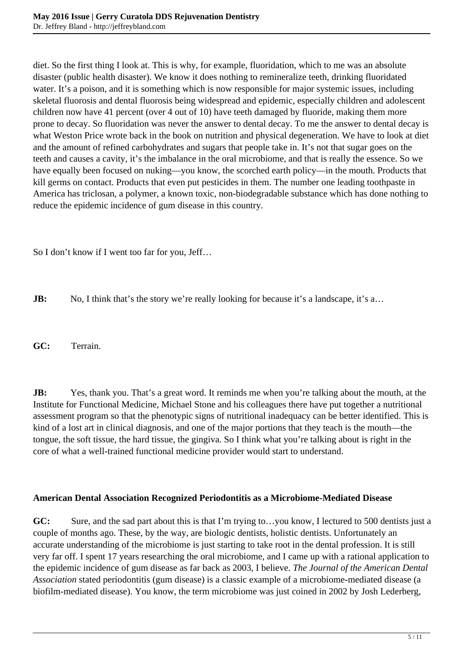diet. So the first thing I look at. This is why, for example, fluoridation, which to me was an absolute disaster (public health disaster). We know it does nothing to remineralize teeth, drinking fluoridated water. It's a poison, and it is something which is now responsible for major systemic issues, including skeletal fluorosis and dental fluorosis being widespread and epidemic, especially children and adolescent children now have 41 percent (over 4 out of 10) have teeth damaged by fluoride, making them more prone to decay. So fluoridation was never the answer to dental decay. To me the answer to dental decay is what Weston Price wrote back in the book on nutrition and physical degeneration. We have to look at diet and the amount of refined carbohydrates and sugars that people take in. It's not that sugar goes on the teeth and causes a cavity, it's the imbalance in the oral microbiome, and that is really the essence. So we have equally been focused on nuking—you know, the scorched earth policy—in the mouth. Products that kill germs on contact. Products that even put pesticides in them. The number one leading toothpaste in America has triclosan, a polymer, a known toxic, non-biodegradable substance which has done nothing to reduce the epidemic incidence of gum disease in this country.

So I don't know if I went too far for you, Jeff…

**JB:** No, I think that's the story we're really looking for because it's a landscape, it's a...

**GC:** Terrain.

**JB:** Yes, thank you. That's a great word. It reminds me when you're talking about the mouth, at the Institute for Functional Medicine, Michael Stone and his colleagues there have put together a nutritional assessment program so that the phenotypic signs of nutritional inadequacy can be better identified. This is kind of a lost art in clinical diagnosis, and one of the major portions that they teach is the mouth—the tongue, the soft tissue, the hard tissue, the gingiva. So I think what you're talking about is right in the core of what a well-trained functional medicine provider would start to understand.

### **American Dental Association Recognized Periodontitis as a Microbiome-Mediated Disease**

**GC:** Sure, and the sad part about this is that I'm trying to…you know, I lectured to 500 dentists just a couple of months ago. These, by the way, are biologic dentists, holistic dentists. Unfortunately an accurate understanding of the microbiome is just starting to take root in the dental profession. It is still very far off. I spent 17 years researching the oral microbiome, and I came up with a rational application to the epidemic incidence of gum disease as far back as 2003, I believe. *The Journal of the American Dental Association* stated periodontitis (gum disease) is a classic example of a microbiome-mediated disease (a biofilm-mediated disease). You know, the term microbiome was just coined in 2002 by Josh Lederberg,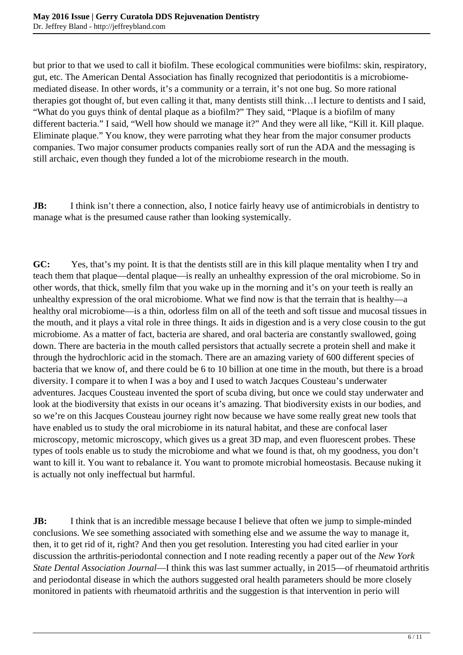but prior to that we used to call it biofilm. These ecological communities were biofilms: skin, respiratory, gut, etc. The American Dental Association has finally recognized that periodontitis is a microbiomemediated disease. In other words, it's a community or a terrain, it's not one bug. So more rational therapies got thought of, but even calling it that, many dentists still think…I lecture to dentists and I said, "What do you guys think of dental plaque as a biofilm?" They said, "Plaque is a biofilm of many different bacteria." I said, "Well how should we manage it?" And they were all like, "Kill it. Kill plaque. Eliminate plaque." You know, they were parroting what they hear from the major consumer products companies. Two major consumer products companies really sort of run the ADA and the messaging is still archaic, even though they funded a lot of the microbiome research in the mouth.

**JB:** I think isn't there a connection, also, I notice fairly heavy use of antimicrobials in dentistry to manage what is the presumed cause rather than looking systemically.

**GC:** Yes, that's my point. It is that the dentists still are in this kill plaque mentality when I try and teach them that plaque—dental plaque—is really an unhealthy expression of the oral microbiome. So in other words, that thick, smelly film that you wake up in the morning and it's on your teeth is really an unhealthy expression of the oral microbiome. What we find now is that the terrain that is healthy—a healthy oral microbiome—is a thin, odorless film on all of the teeth and soft tissue and mucosal tissues in the mouth, and it plays a vital role in three things. It aids in digestion and is a very close cousin to the gut microbiome. As a matter of fact, bacteria are shared, and oral bacteria are constantly swallowed, going down. There are bacteria in the mouth called persistors that actually secrete a protein shell and make it through the hydrochloric acid in the stomach. There are an amazing variety of 600 different species of bacteria that we know of, and there could be 6 to 10 billion at one time in the mouth, but there is a broad diversity. I compare it to when I was a boy and I used to watch Jacques Cousteau's underwater adventures. Jacques Cousteau invented the sport of scuba diving, but once we could stay underwater and look at the biodiversity that exists in our oceans it's amazing. That biodiversity exists in our bodies, and so we're on this Jacques Cousteau journey right now because we have some really great new tools that have enabled us to study the oral microbiome in its natural habitat, and these are confocal laser microscopy, metomic microscopy, which gives us a great 3D map, and even fluorescent probes. These types of tools enable us to study the microbiome and what we found is that, oh my goodness, you don't want to kill it. You want to rebalance it. You want to promote microbial homeostasis. Because nuking it is actually not only ineffectual but harmful.

**JB:** I think that is an incredible message because I believe that often we jump to simple-minded conclusions. We see something associated with something else and we assume the way to manage it, then, it to get rid of it, right? And then you get resolution. Interesting you had cited earlier in your discussion the arthritis-periodontal connection and I note reading recently a paper out of the *New York State Dental Association Journal*—I think this was last summer actually, in 2015—of rheumatoid arthritis and periodontal disease in which the authors suggested oral health parameters should be more closely monitored in patients with rheumatoid arthritis and the suggestion is that intervention in perio will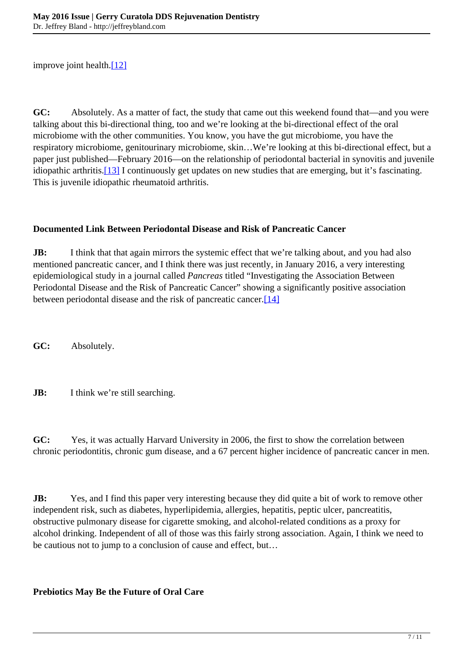improve joint health.[\[12\]](http://www.jeffreybland.com/search/getContent.aspx?Year=2016&Month=5&URL=search/2016/may/may_2016_05.htm#12)

**GC:** Absolutely. As a matter of fact, the study that came out this weekend found that—and you were talking about this bi-directional thing, too and we're looking at the bi-directional effect of the oral microbiome with the other communities. You know, you have the gut microbiome, you have the respiratory microbiome, genitourinary microbiome, skin…We're looking at this bi-directional effect, but a paper just published—February 2016—on the relationship of periodontal bacterial in synovitis and juvenile idiopathic arthritis.[\[13\]](http://www.jeffreybland.com/search/getContent.aspx?Year=2016&Month=5&URL=search/2016/may/may_2016_05.htm#13) I continuously get updates on new studies that are emerging, but it's fascinating. This is juvenile idiopathic rheumatoid arthritis.

### **Documented Link Between Periodontal Disease and Risk of Pancreatic Cancer**

**JB:** I think that that again mirrors the systemic effect that we're talking about, and you had also mentioned pancreatic cancer, and I think there was just recently, in January 2016, a very interesting epidemiological study in a journal called *Pancreas* titled "Investigating the Association Between Periodontal Disease and the Risk of Pancreatic Cancer" showing a significantly positive association between periodontal disease and the risk of pancreatic cancer.<sup>[14]</sup>

**GC:** Absolutely.

**JB:** I think we're still searching.

**GC:** Yes, it was actually Harvard University in 2006, the first to show the correlation between chronic periodontitis, chronic gum disease, and a 67 percent higher incidence of pancreatic cancer in men.

**JB:** Yes, and I find this paper very interesting because they did quite a bit of work to remove other independent risk, such as diabetes, hyperlipidemia, allergies, hepatitis, peptic ulcer, pancreatitis, obstructive pulmonary disease for cigarette smoking, and alcohol-related conditions as a proxy for alcohol drinking. Independent of all of those was this fairly strong association. Again, I think we need to be cautious not to jump to a conclusion of cause and effect, but…

## **Prebiotics May Be the Future of Oral Care**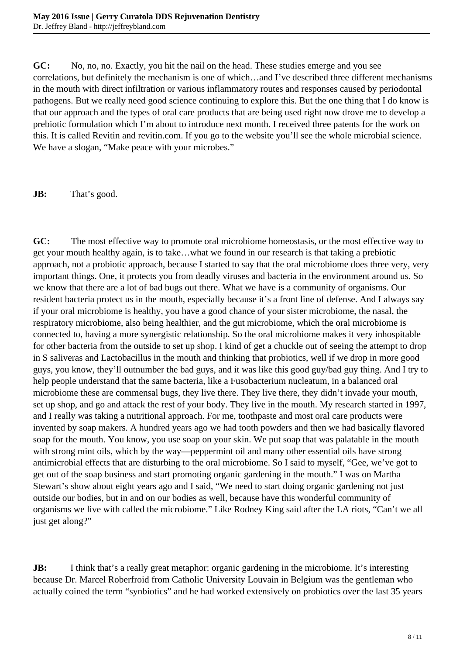**GC:** No, no, no. Exactly, you hit the nail on the head. These studies emerge and you see correlations, but definitely the mechanism is one of which…and I've described three different mechanisms in the mouth with direct infiltration or various inflammatory routes and responses caused by periodontal pathogens. But we really need good science continuing to explore this. But the one thing that I do know is that our approach and the types of oral care products that are being used right now drove me to develop a prebiotic formulation which I'm about to introduce next month. I received three patents for the work on this. It is called Revitin and revitin.com. If you go to the website you'll see the whole microbial science. We have a slogan, "Make peace with your microbes."

**JB:** That's good.

**GC:** The most effective way to promote oral microbiome homeostasis, or the most effective way to get your mouth healthy again, is to take…what we found in our research is that taking a prebiotic approach, not a probiotic approach, because I started to say that the oral microbiome does three very, very important things. One, it protects you from deadly viruses and bacteria in the environment around us. So we know that there are a lot of bad bugs out there. What we have is a community of organisms. Our resident bacteria protect us in the mouth, especially because it's a front line of defense. And I always say if your oral microbiome is healthy, you have a good chance of your sister microbiome, the nasal, the respiratory microbiome, also being healthier, and the gut microbiome, which the oral microbiome is connected to, having a more synergistic relationship. So the oral microbiome makes it very inhospitable for other bacteria from the outside to set up shop. I kind of get a chuckle out of seeing the attempt to drop in S saliveras and Lactobacillus in the mouth and thinking that probiotics, well if we drop in more good guys, you know, they'll outnumber the bad guys, and it was like this good guy/bad guy thing. And I try to help people understand that the same bacteria, like a Fusobacterium nucleatum, in a balanced oral microbiome these are commensal bugs, they live there. They live there, they didn't invade your mouth, set up shop, and go and attack the rest of your body. They live in the mouth. My research started in 1997, and I really was taking a nutritional approach. For me, toothpaste and most oral care products were invented by soap makers. A hundred years ago we had tooth powders and then we had basically flavored soap for the mouth. You know, you use soap on your skin. We put soap that was palatable in the mouth with strong mint oils, which by the way—peppermint oil and many other essential oils have strong antimicrobial effects that are disturbing to the oral microbiome. So I said to myself, "Gee, we've got to get out of the soap business and start promoting organic gardening in the mouth." I was on Martha Stewart's show about eight years ago and I said, "We need to start doing organic gardening not just outside our bodies, but in and on our bodies as well, because have this wonderful community of organisms we live with called the microbiome." Like Rodney King said after the LA riots, "Can't we all just get along?"

**JB:** I think that's a really great metaphor: organic gardening in the microbiome. It's interesting because Dr. Marcel Roberfroid from Catholic University Louvain in Belgium was the gentleman who actually coined the term "synbiotics" and he had worked extensively on probiotics over the last 35 years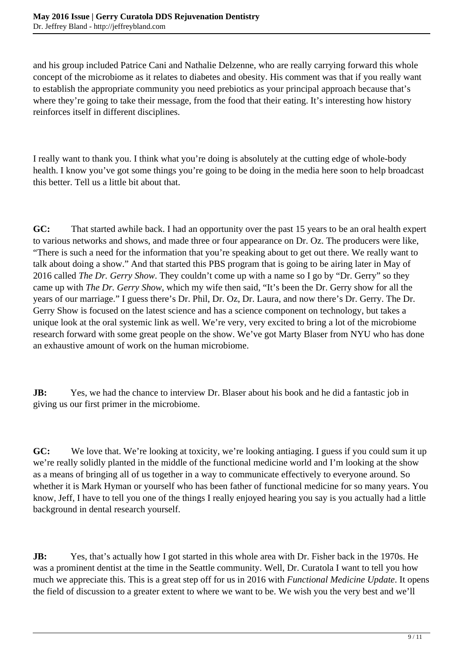and his group included Patrice Cani and Nathalie Delzenne, who are really carrying forward this whole concept of the microbiome as it relates to diabetes and obesity. His comment was that if you really want to establish the appropriate community you need prebiotics as your principal approach because that's where they're going to take their message, from the food that their eating. It's interesting how history reinforces itself in different disciplines.

I really want to thank you. I think what you're doing is absolutely at the cutting edge of whole-body health. I know you've got some things you're going to be doing in the media here soon to help broadcast this better. Tell us a little bit about that.

**GC:** That started awhile back. I had an opportunity over the past 15 years to be an oral health expert to various networks and shows, and made three or four appearance on Dr. Oz. The producers were like, "There is such a need for the information that you're speaking about to get out there. We really want to talk about doing a show." And that started this PBS program that is going to be airing later in May of 2016 called *The Dr. Gerry Show*. They couldn't come up with a name so I go by "Dr. Gerry" so they came up with *The Dr. Gerry Show*, which my wife then said, "It's been the Dr. Gerry show for all the years of our marriage." I guess there's Dr. Phil, Dr. Oz, Dr. Laura, and now there's Dr. Gerry. The Dr. Gerry Show is focused on the latest science and has a science component on technology, but takes a unique look at the oral systemic link as well. We're very, very excited to bring a lot of the microbiome research forward with some great people on the show. We've got Marty Blaser from NYU who has done an exhaustive amount of work on the human microbiome.

**JB:** Yes, we had the chance to interview Dr. Blaser about his book and he did a fantastic job in giving us our first primer in the microbiome.

**GC:** We love that. We're looking at toxicity, we're looking antiaging. I guess if you could sum it up we're really solidly planted in the middle of the functional medicine world and I'm looking at the show as a means of bringing all of us together in a way to communicate effectively to everyone around. So whether it is Mark Hyman or yourself who has been father of functional medicine for so many years. You know, Jeff, I have to tell you one of the things I really enjoyed hearing you say is you actually had a little background in dental research yourself.

**JB:** Yes, that's actually how I got started in this whole area with Dr. Fisher back in the 1970s. He was a prominent dentist at the time in the Seattle community. Well, Dr. Curatola I want to tell you how much we appreciate this. This is a great step off for us in 2016 with *Functional Medicine Update*. It opens the field of discussion to a greater extent to where we want to be. We wish you the very best and we'll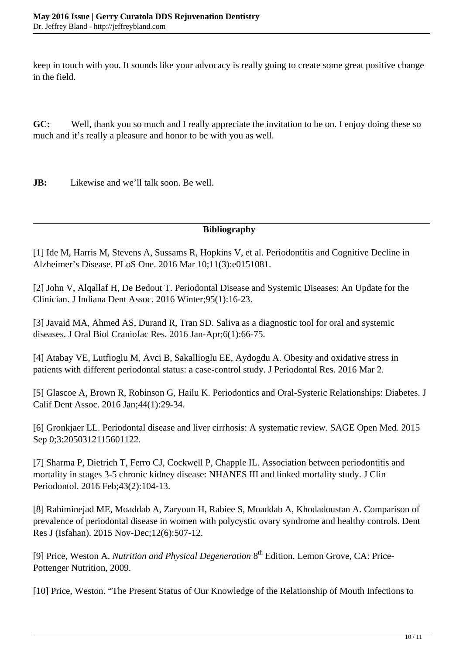keep in touch with you. It sounds like your advocacy is really going to create some great positive change in the field.

**GC:** Well, thank you so much and I really appreciate the invitation to be on. I enjoy doing these so much and it's really a pleasure and honor to be with you as well.

**JB:** Likewise and we'll talk soon. Be well.

## **Bibliography**

[1] Ide M, Harris M, Stevens A, Sussams R, Hopkins V, et al. Periodontitis and Cognitive Decline in Alzheimer's Disease. PLoS One. 2016 Mar 10;11(3):e0151081.

[2] John V, Alqallaf H, De Bedout T. Periodontal Disease and Systemic Diseases: An Update for the Clinician. J Indiana Dent Assoc. 2016 Winter;95(1):16-23.

[3] Javaid MA, Ahmed AS, Durand R, Tran SD. Saliva as a diagnostic tool for oral and systemic diseases. J Oral Biol Craniofac Res. 2016 Jan-Apr;6(1):66-75.

[4] Atabay VE, Lutfioglu M, Avci B, Sakallioglu EE, Aydogdu A. Obesity and oxidative stress in patients with different periodontal status: a case-control study. J Periodontal Res. 2016 Mar 2.

[5] Glascoe A, Brown R, Robinson G, Hailu K. Periodontics and Oral-Systeric Relationships: Diabetes. J Calif Dent Assoc. 2016 Jan;44(1):29-34.

[6] Gronkjaer LL. Periodontal disease and liver cirrhosis: A systematic review. SAGE Open Med. 2015 Sep 0;3:2050312115601122.

[7] Sharma P, Dietrich T, Ferro CJ, Cockwell P, Chapple IL. Association between periodontitis and mortality in stages 3-5 chronic kidney disease: NHANES III and linked mortality study. J Clin Periodontol. 2016 Feb;43(2):104-13.

[8] Rahiminejad ME, Moaddab A, Zaryoun H, Rabiee S, Moaddab A, Khodadoustan A. Comparison of prevalence of periodontal disease in women with polycystic ovary syndrome and healthy controls. Dent Res J (Isfahan). 2015 Nov-Dec;12(6):507-12.

[9] Price, Weston A. *Nutrition and Physical Degeneration* 8<sup>th</sup> Edition. Lemon Grove. CA: Price-Pottenger Nutrition, 2009.

[10] Price, Weston. "The Present Status of Our Knowledge of the Relationship of Mouth Infections to